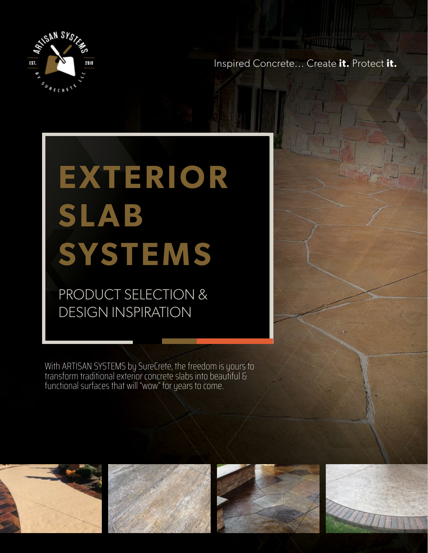

Inspired Concrete... Create **it.** Protect **it.**

# **EXTERIOR SLAB SYSTEMS**

PRODUCT SELECTION & DESIGN INSPIRATION

With ARTISAN SYSTEMS by SureCrete, the freedom is yours to transform traditional exterior concrete slabs into beautiful & functional surfaces that will "wow" for years to come.







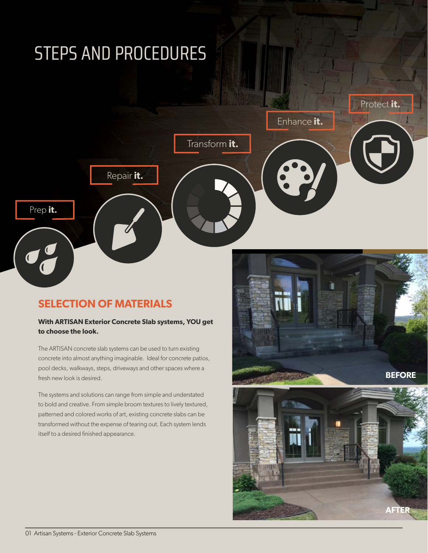### STEPS AND PROCEDURES



#### **SELECTION OF MATERIALS**

#### **With ARTISAN Exterior Concrete Slab systems, YOU get to choose the look.**

The ARTISAN concrete slab systems can be used to turn existing concrete into almost anything imaginable. Ideal for concrete patios, pool decks, walkways, steps, driveways and other spaces where a fresh new look is desired.

The systems and solutions can range from simple and understated to bold and creative. From simple broom textures to lively textured, patterned and colored works of art, existing concrete slabs can be transformed without the expense of tearing out. Each system lends itself to a desired finished appearance.

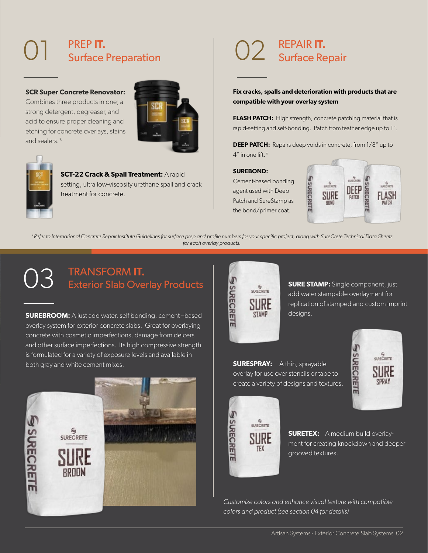#### 01 PREP **IT.**  Surface Preparation

#### **SCR Super Concrete Renovator:**

Combines three products in one; a strong detergent, degreaser, and acid to ensure proper cleaning and etching for concrete overlays, stains and sealers.\*





#### **SCT-22 Crack & Spall Treatment:** A rapid setting, ultra low-viscosity urethane spall and crack treatment for concrete.

#### 02 REPAIR **IT.**  Surface Repair

**Fix cracks, spalls and deterioration with products that are compatible with your overlay system**

**FLASH PATCH:** High strength, concrete patching material that is rapid-setting and self-bonding. Patch from feather edge up to 1".

**DEEP PATCH:** Repairs deep voids in concrete, from 1/8" up to 4" in one lift.\*

#### **SUREBOND:**

Cement-based bonding agent used with Deep Patch and SureStamp as the bond/primer coat.



*\*Refer to International Concrete Repair Institute Guidelines for surface prep and profile numbers for your specific project, along with SureCrete Technical Data Sheets for each overlay products.*

#### 03 TRANSFORM **IT.**  Exterior Slab Overlay Products

**SUREBROOM:** A just add water, self bonding, cement –based overlay system for exterior concrete slabs. Great for overlaying concrete with cosmetic imperfections, damage from deicers and other surface imperfections. Its high compressive strength is formulated for a variety of exposure levels and available in both gray and white cement mixes.





**SURE STAMP:** Single component, just add water stampable overlayment for replication of stamped and custom imprint designs.

**SURESPRAY:** A thin, sprayable overlay for use over stencils or tape to create a variety of designs and textures.





**SURETEX:** A medium build overlayment for creating knockdown and deeper grooved textures.

*Customize colors and enhance visual texture with compatible colors and product (see section 04 for details)*